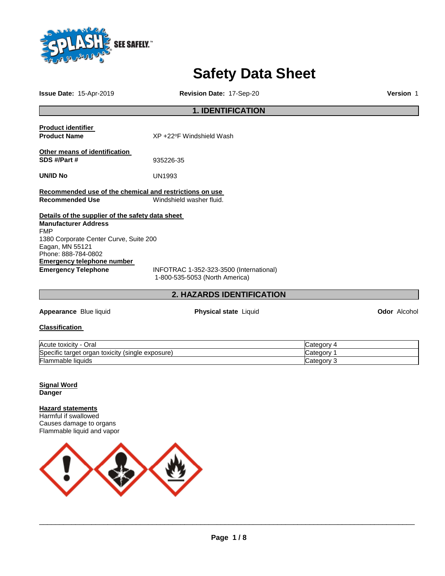

# **Safety Data Sheet**

**Issue Date:** 15-Apr-2019 **Revision Date:** 17-Sep-20 **Version** 1

# **1. IDENTIFICATION**

| <b>Product identifier</b><br><b>Product Name</b>        | XP +22°F Windshield Wash                                                  |
|---------------------------------------------------------|---------------------------------------------------------------------------|
|                                                         |                                                                           |
| Other means of identification                           |                                                                           |
| SDS #/Part #                                            | 935226-35                                                                 |
| UN/ID No                                                | UN1993                                                                    |
| Recommended use of the chemical and restrictions on use |                                                                           |
| <b>Recommended Use</b>                                  | Windshield washer fluid.                                                  |
| Details of the supplier of the safety data sheet        |                                                                           |
| <b>Manufacturer Address</b>                             |                                                                           |
| <b>FMP</b>                                              |                                                                           |
| 1380 Corporate Center Curve, Suite 200                  |                                                                           |
| Eagan, MN 55121                                         |                                                                           |
| Phone: 888-784-0802                                     |                                                                           |
| Emergency telephone number                              |                                                                           |
| <b>Emergency Telephone</b>                              | INFOTRAC 1-352-323-3500 (International)<br>1-800-535-5053 (North America) |

# **2. HAZARDS IDENTIFICATION**

**Appearance** Blue liquid **Physical state** Liquid **Odor** Alcohol

**Classification** 

| -<br>Acute toxicity<br>Oral                                  | ategoryٽ   |
|--------------------------------------------------------------|------------|
| Specific target<br>toxicity<br>exposure)<br>(sinale<br>organ | ∵ategor∨   |
| Flammable liquids                                            | ′ ategory: |

# **Signal Word Danger**

# **Hazard statements**

Harmful if swallowed Causes damage to organs Flammable liquid and vapor

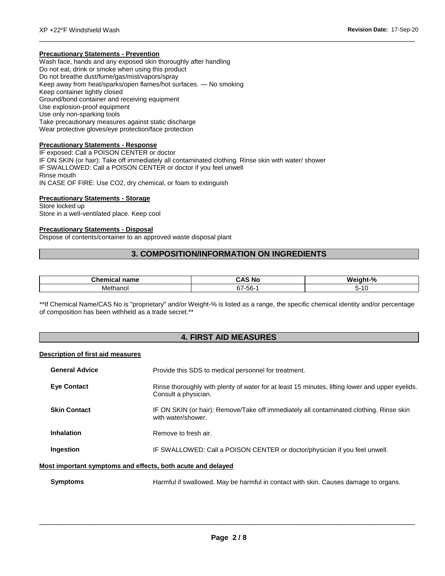# **Precautionary Statements - Prevention**

Wash face, hands and any exposed skin thoroughly after handling Do not eat, drink or smoke when using this product Do not breathe dust/fume/gas/mist/vapors/spray Keep away from heat/sparks/open flames/hot surfaces. — No smoking Keep container tightly closed Ground/bond container and receiving equipment Use explosion-proof equipment Use only non-sparking tools Take precautionary measures against static discharge Wear protective gloves/eye protection/face protection

# **Precautionary Statements - Response**

IF exposed: Call a POISON CENTER or doctor IF ON SKIN (or hair): Take off immediately all contaminated clothing. Rinse skin with water/ shower IF SWALLOWED: Call a POISON CENTER or doctor if you feel unwell Rinse mouth IN CASE OF FIRE: Use CO2, dry chemical, or foam to extinguish

# **Precautionary Statements - Storage**

Store locked up Store in a well-ventilated place. Keep cool

# **Precautionary Statements - Disposal**

Dispose of contents/container to an approved waste disposal plant

# **3. COMPOSITION/INFORMATION ON INGREDIENTS**

\_\_\_\_\_\_\_\_\_\_\_\_\_\_\_\_\_\_\_\_\_\_\_\_\_\_\_\_\_\_\_\_\_\_\_\_\_\_\_\_\_\_\_\_\_\_\_\_\_\_\_\_\_\_\_\_\_\_\_\_\_\_\_\_\_\_\_\_\_\_\_\_\_\_\_\_\_\_\_\_\_\_\_\_\_\_\_\_\_\_\_\_\_

| $\mathbf{B}$<br>ше | n<br>N/<br>. .              | $\Omega$<br>W.<br><b>70</b> |
|--------------------|-----------------------------|-----------------------------|
| Methanol           | $ \sim$<br>$b$ / -5<br>-၁၀- | יי                          |

\*\*If Chemical Name/CAS No is "proprietary" and/or Weight-% is listed as a range, the specific chemical identity and/or percentage of composition has been withheld as a trade secret.\*\*

# **4. FIRST AID MEASURES**

# **Description of first aid measures**

| <b>General Advice</b> | Provide this SDS to medical personnel for treatment.                                                                                                                                                                                          |
|-----------------------|-----------------------------------------------------------------------------------------------------------------------------------------------------------------------------------------------------------------------------------------------|
| <b>Eve Contact</b>    | Rinse thoroughly with plenty of water for at least 15 minutes, lifting lower and upper eyelids.<br>Consult a physician.                                                                                                                       |
| <b>Skin Contact</b>   | IF ON SKIN (or hair): Remove/Take off immediately all contaminated clothing. Rinse skin<br>with water/shower.                                                                                                                                 |
| <b>Inhalation</b>     | Remove to fresh air.                                                                                                                                                                                                                          |
| Ingestion             | IF SWALLOWED: Call a POISON CENTER or doctor/physician if you feel unwell.                                                                                                                                                                    |
|                       | Most important symptoms and effects, both acute and delayed                                                                                                                                                                                   |
|                       | $\mathbf{u} = \mathbf{v} + \mathbf{v}$ , and the set of the set of the set of the set of the set of the set of the set of the set of the set of the set of the set of the set of the set of the set of the set of the set of the set of the s |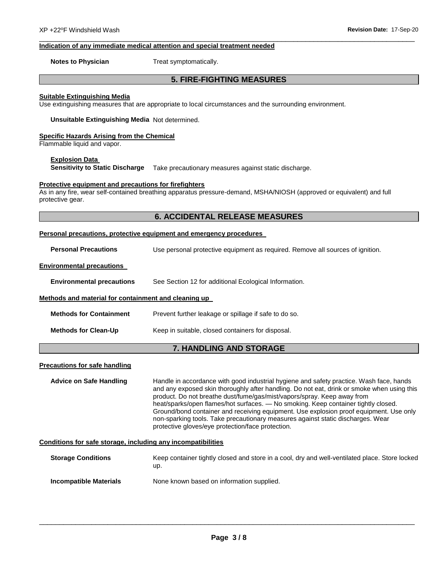# **Indication of any immediate medical attention and special treatment needed**

**Notes to Physician**  Treat symptomatically.

# **5. FIRE-FIGHTING MEASURES**

\_\_\_\_\_\_\_\_\_\_\_\_\_\_\_\_\_\_\_\_\_\_\_\_\_\_\_\_\_\_\_\_\_\_\_\_\_\_\_\_\_\_\_\_\_\_\_\_\_\_\_\_\_\_\_\_\_\_\_\_\_\_\_\_\_\_\_\_\_\_\_\_\_\_\_\_\_\_\_\_\_\_\_\_\_\_\_\_\_\_\_\_\_

# **Suitable Extinguishing Media**

Use extinguishing measures that are appropriate to local circumstances and the surrounding environment.

**Unsuitable Extinguishing Media** Not determined.

# **Specific Hazards Arising from the Chemical**

Flammable liquid and vapor.

# **Explosion Data**

**Sensitivity to Static Discharge** Take precautionary measures against static discharge.

# **Protective equipment and precautions for firefighters**

As in any fire, wear self-contained breathing apparatus pressure-demand, MSHA/NIOSH (approved or equivalent) and full protective gear.

# **6. ACCIDENTAL RELEASE MEASURES**

# **Personal precautions, protective equipment and emergency procedures**

**Personal Precautions** Use personal protective equipment as required. Remove all sources of ignition.

# **Environmental precautions**

**Environmental precautions** See Section 12 for additional Ecological Information.

# **Methods and material for containment and cleaning up**

| Methods for Containment | Prevent further leakage or spillage if safe to do so. |
|-------------------------|-------------------------------------------------------|
|                         |                                                       |

**Methods for Clean-Up Keep in suitable, closed containers for disposal.** 

# **7. HANDLING AND STORAGE**

# **Precautions for safe handling**

**Advice on Safe Handling** Handle in accordance with good industrial hygiene and safety practice. Wash face, hands and any exposed skin thoroughly after handling. Do not eat, drink or smoke when using this product. Do not breathe dust/fume/gas/mist/vapors/spray. Keep away from heat/sparks/open flames/hot surfaces. — No smoking. Keep container tightly closed. Ground/bond container and receiving equipment. Use explosion proof equipment. Use only non-sparking tools. Take precautionary measures against static discharges. Wear protective gloves/eye protection/face protection.

# **Conditions for safe storage, including any incompatibilities**

| <b>Storage Conditions</b> | Keep container tightly closed and store in a cool, dry and well-ventilated place. Store locked<br>up. |
|---------------------------|-------------------------------------------------------------------------------------------------------|
| Incompatible Materials    | None known based on information supplied.                                                             |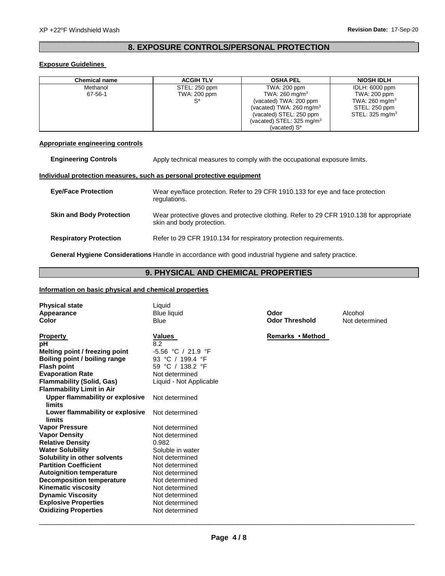# \_\_\_\_\_\_\_\_\_\_\_\_\_\_\_\_\_\_\_\_\_\_\_\_\_\_\_\_\_\_\_\_\_\_\_\_\_\_\_\_\_\_\_\_\_\_\_\_\_\_\_\_\_\_\_\_\_\_\_\_\_\_\_\_\_\_\_\_\_\_\_\_\_\_\_\_\_\_\_\_\_\_\_\_\_\_\_\_\_\_\_\_\_ **8. EXPOSURE CONTROLS/PERSONAL PROTECTION**

# **Exposure Guidelines**

| Chemical name | <b>ACGIH TLV</b> | <b>OSHA PEL</b>              | <b>NIOSH IDLH</b>          |
|---------------|------------------|------------------------------|----------------------------|
| Methanol      | STEL: 250 ppm    | TWA: 200 ppm                 | IDLH: 6000 ppm             |
| 67-56-1       | TWA: 200 ppm     | TWA: $260 \text{ mg/m}^3$    | TWA: 200 ppm               |
|               | $^{\circ\ast}$   | (vacated) TWA: 200 ppm       | TWA: 260 mg/m <sup>3</sup> |
|               |                  | (vacated) TWA: 260 mg/m $3$  | STEL: 250 ppm              |
|               |                  | (vacated) STEL: 250 ppm      | STEL: $325 \text{ mg/m}^3$ |
|               |                  | (vacated) STEL: 325 mg/m $3$ |                            |
|               |                  | (vacated) S*                 |                            |

# **Appropriate engineering controls**

| <b>Engineering Controls</b>     | Apply technical measures to comply with the occupational exposure limits.                                             |
|---------------------------------|-----------------------------------------------------------------------------------------------------------------------|
|                                 | Individual protection measures, such as personal protective equipment                                                 |
| <b>Eve/Face Protection</b>      | Wear eye/face protection. Refer to 29 CFR 1910.133 for eye and face protection<br>regulations.                        |
| <b>Skin and Body Protection</b> | Wear protective gloves and protective clothing. Refer to 29 CFR 1910.138 for appropriate<br>skin and body protection. |
| <b>Respiratory Protection</b>   | Refer to 29 CFR 1910.134 for respiratory protection requirements.                                                     |

**General Hygiene Considerations** Handle in accordance with good industrial hygiene and safety practice.

# **9. PHYSICAL AND CHEMICAL PROPERTIES**

# **Information on basic physical and chemical properties**

| <b>Physical state</b><br>Appearance<br>Color                                                                                  | Liquid<br><b>Blue liquid</b><br><b>Blue</b>                                        | Odor<br><b>Odor Threshold</b> | Alcohol<br>Not determined |
|-------------------------------------------------------------------------------------------------------------------------------|------------------------------------------------------------------------------------|-------------------------------|---------------------------|
| <b>Property</b><br>рH<br>Melting point / freezing point<br>Boiling point / boiling range<br><b>Flash point</b>                | <b>Values</b><br>8.2<br>-5.56 °C / 21.9 °F<br>93 °C / 199.4 °F<br>59 °C / 138.2 °F | Remarks • Method              |                           |
| <b>Evaporation Rate</b><br><b>Flammability (Solid, Gas)</b><br><b>Flammability Limit in Air</b>                               | Not determined<br>Liquid - Not Applicable                                          |                               |                           |
| Upper flammability or explosive<br>limits<br>Lower flammability or explosive                                                  | Not determined<br>Not determined                                                   |                               |                           |
| limits<br><b>Vapor Pressure</b><br><b>Vapor Density</b><br><b>Relative Density</b>                                            | Not determined<br>Not determined<br>0.982                                          |                               |                           |
| <b>Water Solubility</b><br>Solubility in other solvents<br><b>Partition Coefficient</b>                                       | Soluble in water<br>Not determined<br>Not determined                               |                               |                           |
| <b>Autoignition temperature</b><br><b>Decomposition temperature</b><br><b>Kinematic viscosity</b><br><b>Dynamic Viscosity</b> | Not determined<br>Not determined<br>Not determined<br>Not determined               |                               |                           |
| <b>Explosive Properties</b><br><b>Oxidizing Properties</b>                                                                    | Not determined<br>Not determined                                                   |                               |                           |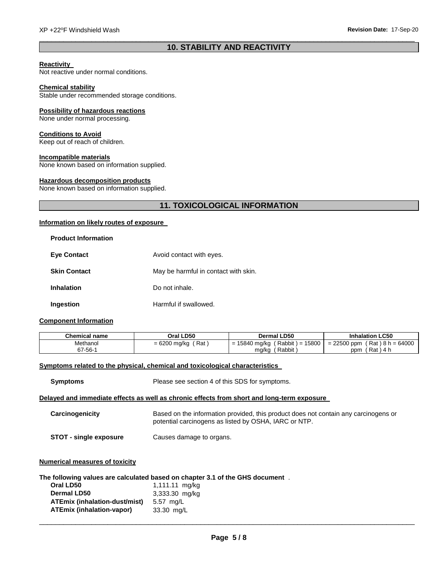# \_\_\_\_\_\_\_\_\_\_\_\_\_\_\_\_\_\_\_\_\_\_\_\_\_\_\_\_\_\_\_\_\_\_\_\_\_\_\_\_\_\_\_\_\_\_\_\_\_\_\_\_\_\_\_\_\_\_\_\_\_\_\_\_\_\_\_\_\_\_\_\_\_\_\_\_\_\_\_\_\_\_\_\_\_\_\_\_\_\_\_\_\_ **10. STABILITY AND REACTIVITY**

# **Reactivity**

Not reactive under normal conditions.

# **Chemical stability**

Stable under recommended storage conditions.

# **Possibility of hazardous reactions**

None under normal processing.

# **Conditions to Avoid**

Keep out of reach of children.

# **Incompatible materials**

None known based on information supplied.

# **Hazardous decomposition products**

None known based on information supplied.

# **11. TOXICOLOGICAL INFORMATION**

# **Information on likely routes of exposure**

| <b>Product Information</b> |                                      |
|----------------------------|--------------------------------------|
| <b>Eye Contact</b>         | Avoid contact with eyes.             |
| <b>Skin Contact</b>        | May be harmful in contact with skin. |
| <b>Inhalation</b>          | Do not inhale.                       |
| Ingestion                  | Harmful if swallowed.                |

# **Component Information**

| Chemical name | Oral LD50               | <b>Dermal LD50</b>                           | <b>Inhalation LC50</b>          |
|---------------|-------------------------|----------------------------------------------|---------------------------------|
| Methanol      | ∫ Rat<br>$= 6200$ mg/kg | 15800<br>$'$ Rabbit $) =$<br>= 15840 mg/kg ( | $= 22500$ ppm (Rat) 8 h = 64000 |
| 67-56-1       |                         | ' Rabbit<br>mg/kg                            | (Rat)4 h<br>ppm                 |

# **Symptoms related to the physical, chemical and toxicological characteristics**

| <b>Symptoms</b>                       | Please see section 4 of this SDS for symptoms.                                                                                               |
|---------------------------------------|----------------------------------------------------------------------------------------------------------------------------------------------|
|                                       | Delayed and immediate effects as well as chronic effects from short and long-term exposure                                                   |
| Carcinogenicity                       | Based on the information provided, this product does not contain any carcinogens or<br>potential carcinogens as listed by OSHA, IARC or NTP. |
| <b>STOT - single exposure</b>         | Causes damage to organs.                                                                                                                     |
| <b>Numerical measures of toxicity</b> |                                                                                                                                              |
| Oral LD50                             | The following values are calculated based on chapter 3.1 of the GHS document .<br>1.111.11 ma/ka                                             |

| Oral LD50                        | 1,111.11 mg/kg |
|----------------------------------|----------------|
| <b>Dermal LD50</b>               | 3,333.30 mg/kg |
| ATEmix (inhalation-dust/mist)    | 5.57 mg/L      |
| <b>ATEmix (inhalation-vapor)</b> | 33.30 mg/L     |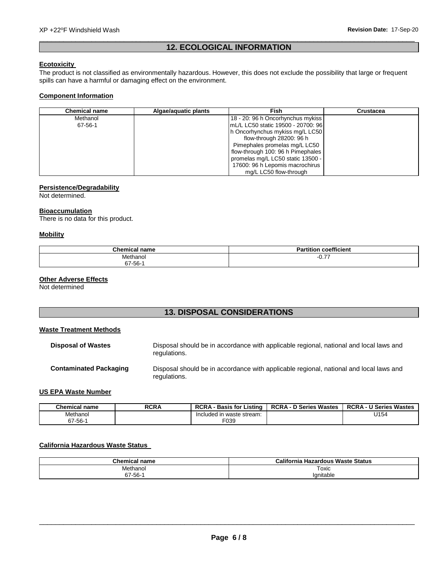# \_\_\_\_\_\_\_\_\_\_\_\_\_\_\_\_\_\_\_\_\_\_\_\_\_\_\_\_\_\_\_\_\_\_\_\_\_\_\_\_\_\_\_\_\_\_\_\_\_\_\_\_\_\_\_\_\_\_\_\_\_\_\_\_\_\_\_\_\_\_\_\_\_\_\_\_\_\_\_\_\_\_\_\_\_\_\_\_\_\_\_\_\_ **12. ECOLOGICAL INFORMATION**

# **Ecotoxicity**

The product is not classified as environmentally hazardous. However, this does not exclude the possibility that large or frequent spills can have a harmful or damaging effect on the environment.

# **Component Information**

| <b>Chemical name</b> | Algae/aquatic plants | Fish                                | <b>Crustacea</b> |
|----------------------|----------------------|-------------------------------------|------------------|
| Methanol             |                      | 18 - 20: 96 h Oncorhynchus mykiss   |                  |
| 67-56-1              |                      | ImL/L LC50 static 19500 - 20700: 96 |                  |
|                      |                      | h Oncorhynchus mykiss mg/L LC50     |                  |
|                      |                      | flow-through 28200: 96 h            |                  |
|                      |                      | Pimephales promelas mg/L LC50       |                  |
|                      |                      | flow-through 100: 96 h Pimephales   |                  |
|                      |                      | promelas mg/L LC50 static 13500 -   |                  |
|                      |                      | 17600: 96 h Lepomis macrochirus     |                  |
|                      |                      | mg/L LC50 flow-through              |                  |

# **Persistence/Degradability**

Not determined.

# **Bioaccumulation**

There is no data for this product.

# **Mobility**

| $\sim$ $\sim$ $\sim$ $\sim$<br>$\blacksquare$<br>ाावागा | $\overline{\phantom{a}}$<br>ficient<br>coef**** |
|---------------------------------------------------------|-------------------------------------------------|
| Methanol<br>.                                           | $- -$<br>--<br>0.11                             |
| $67 - 56 - 4$                                           |                                                 |

# **Other Adverse Effects**

Not determined

# **13. DISPOSAL CONSIDERATIONS**

# **Waste Treatment Methods**

| <b>Disposal of Wastes</b>     | Disposal should be in accordance with applicable regional, national and local laws and<br>regulations. |
|-------------------------------|--------------------------------------------------------------------------------------------------------|
| <b>Contaminated Packaging</b> | Disposal should be in accordance with applicable regional, national and local laws and<br>regulations. |

# **US EPA Waste Number**

| <b>Chemical name</b> | <b>RCRA</b> | <b>RCRA</b><br>Listina<br><b>Basis for</b> | <b>RCRA-</b><br>D Series Wastes | <b>RCRA-</b><br><b>U Series Wastes</b> |
|----------------------|-------------|--------------------------------------------|---------------------------------|----------------------------------------|
| Methanol             |             | Included in waste stream:                  |                                 | U154                                   |
| $67 - 56 - 7$        |             | F039                                       |                                 |                                        |

# **California Hazardous Waste Status**

| <b>Chemical name</b> | California<br>เ Hazardous Waste Status |
|----------------------|----------------------------------------|
| Methanol             | Toxic<br>_____                         |
| 67-56-1              | lanitable                              |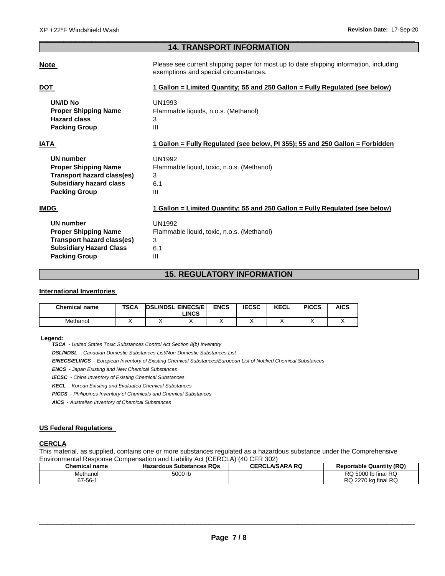# \_\_\_\_\_\_\_\_\_\_\_\_\_\_\_\_\_\_\_\_\_\_\_\_\_\_\_\_\_\_\_\_\_\_\_\_\_\_\_\_\_\_\_\_\_\_\_\_\_\_\_\_\_\_\_\_\_\_\_\_\_\_\_\_\_\_\_\_\_\_\_\_\_\_\_\_\_\_\_\_\_\_\_\_\_\_\_\_\_\_\_\_\_ **14. TRANSPORT INFORMATION**

**Note Please see current shipping paper for most up to date shipping information, including** exemptions and special circumstances.

| DOT                            | 1 Gallon = Limited Quantity; 55 and 250 Gallon = Fully Regulated (see below)  |
|--------------------------------|-------------------------------------------------------------------------------|
| <b>UN/ID No</b>                | UN1993                                                                        |
| <b>Proper Shipping Name</b>    | Flammable liquids, n.o.s. (Methanol)                                          |
| <b>Hazard class</b>            | 3                                                                             |
| <b>Packing Group</b>           | III                                                                           |
| IATA                           | 1 Gallon = Fully Requlated (see below, PI 355); 55 and 250 Gallon = Forbidden |
| <b>UN number</b>               | <b>UN1992</b>                                                                 |
| <b>Proper Shipping Name</b>    | Flammable liquid, toxic, n.o.s. (Methanol)                                    |
| Transport hazard class(es)     | 3                                                                             |
| <b>Subsidiary hazard class</b> | 6.1                                                                           |
| <b>Packing Group</b>           | Ш                                                                             |
| IMDG                           | 1 Gallon = Limited Quantity; 55 and 250 Gallon = Fully Regulated (see below)  |
| <b>UN number</b>               | <b>UN1992</b>                                                                 |
| <b>Proper Shipping Name</b>    | Flammable liquid, toxic, n.o.s. (Methanol)                                    |
| Transport hazard class(es)     | 3                                                                             |
| <b>Subsidiary Hazard Class</b> | 6.1                                                                           |

# **15. REGULATORY INFORMATION**

# **International Inventories**

**Packing Group 111** 

| <b>Chemical name</b> | <b>TSCA</b> | <b>DSL/NDSL EINECS/E</b><br>LINCS. | <b>ENCS</b> | <b>IECSC</b> | <b>KECL</b> | <b>PICCS</b> | AICS |  |
|----------------------|-------------|------------------------------------|-------------|--------------|-------------|--------------|------|--|
| Methanol             |             |                                    | . .         |              |             | ,,           |      |  |

# **Legend:**

*TSCA - United States Toxic Substances Control Act Section 8(b) Inventory* 

*DSL/NDSL - Canadian Domestic Substances List/Non-Domestic Substances List* 

*EINECS/ELINCS - European Inventory of Existing Chemical Substances/European List of Notified Chemical Substances* 

*ENCS - Japan Existing and New Chemical Substances* 

*IECSC - China Inventory of Existing Chemical Substances* 

*KECL - Korean Existing and Evaluated Chemical Substances* 

*PICCS - Philippines Inventory of Chemicals and Chemical Substances* 

*AICS - Australian Inventory of Chemical Substances* 

# **US Federal Regulations**

# **CERCLA**

This material, as supplied, contains one or more substances regulated as a hazardous substance under the Comprehensive Environmental Response Compensation and Liability Act (CERCLA) (40 CFR 302)

| <b>Chemical name</b> | <b>Hazardous Substances RQs</b> | <b>CERCLA/SARA RQ</b> | <b>Reportable Quantity (RQ)</b> |
|----------------------|---------------------------------|-----------------------|---------------------------------|
| Methanol             | 5000 lb                         |                       | RQ 5000 lb final RQ             |
| $67 - 56 - 7$        |                                 |                       | RQ.<br>RQ<br>≀ 2270 kɑ final    |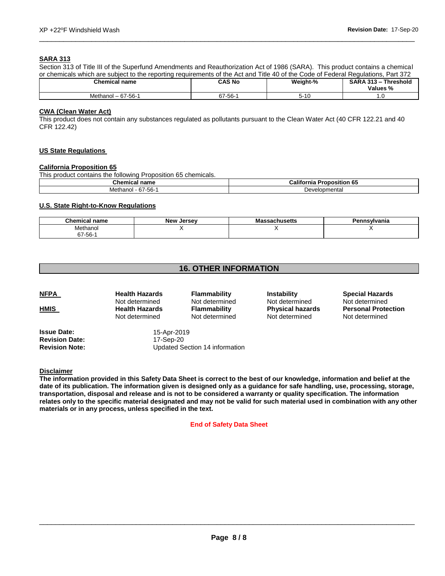# **SARA 313**

Section 313 of Title III of the Superfund Amendments and Reauthorization Act of 1986 (SARA). This product contains a chemical or chemicals which are subject to the reporting requirements of the Act and Title 40 of the Code of Federal Regulations, Part 372

\_\_\_\_\_\_\_\_\_\_\_\_\_\_\_\_\_\_\_\_\_\_\_\_\_\_\_\_\_\_\_\_\_\_\_\_\_\_\_\_\_\_\_\_\_\_\_\_\_\_\_\_\_\_\_\_\_\_\_\_\_\_\_\_\_\_\_\_\_\_\_\_\_\_\_\_\_\_\_\_\_\_\_\_\_\_\_\_\_\_\_\_\_

| <b>Chemical name</b>          | CAS No        | Weight-% | <b>Threshold</b><br><b>SARA 313-</b><br>Values % |
|-------------------------------|---------------|----------|--------------------------------------------------|
| Methar<br>- 67-56-1 س<br>ומחי | $67 - 56 - 4$ | с 40     | .u                                               |

# **CWA (Clean Water Act)**

This product does not contain any substances regulated as pollutants pursuant to the Clean Water Act (40 CFR 122.21 and 40 CFR 122.42)

# **US State Regulations**

# **California Proposition 65**

This product contains the following Proposition 65 chemicals.

| $P1 = 0$<br>.<br>Chemical<br>пате               | $\cdots$<br>∿alif<br>- - --- -<br>osition<br>. ხა<br>rnı |  |
|-------------------------------------------------|----------------------------------------------------------|--|
| $-$<br>- -<br>Meth<br>-hh.<br>nanoi<br>O L<br>w | Developmental                                            |  |

# **U.S. State Right-to-Know Regulations**

| <b>Chemical name</b> | <b>New Jersey</b> | Massachusetts | Pennsylvania |
|----------------------|-------------------|---------------|--------------|
| Methanol             | . .               | . .           |              |
| $67 - 56 -$          |                   |               |              |

# **16. OTHER INFORMATION**

| <u>NFPA</u><br><u>HMIS</u> | <b>Health Hazards</b><br>Not determined<br><b>Health Hazards</b><br>Not determined | <b>Flammability</b><br>Not determined<br>Flammability<br>Not determined | <b>Instability</b><br>Not determined<br><b>Physical hazards</b><br>Not determined | <b>Special Hazards</b><br>Not determined<br><b>Personal Protection</b><br>Not determined |
|----------------------------|------------------------------------------------------------------------------------|-------------------------------------------------------------------------|-----------------------------------------------------------------------------------|------------------------------------------------------------------------------------------|
|                            |                                                                                    |                                                                         |                                                                                   |                                                                                          |

**Issue Date:** 15-Apr-2019 **Revision Date:** 17-Sep-20

**Revision Note:** Updated Section 14 information

**Disclaimer**

**The information provided in this Safety Data Sheet is correct to the best of our knowledge, information and belief at the date of its publication. The information given is designed only as a guidance for safe handling, use, processing, storage, transportation, disposal and release and is not to be considered a warranty or quality specification. The information relates only to the specific material designated and may not be valid for such material used in combination with any other materials or in any process, unless specified in the text.** 

# **End of Safety Data Sheet**